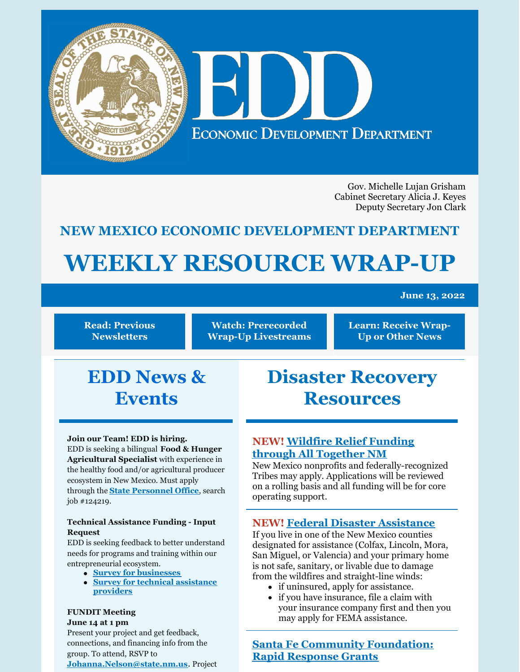

Gov. Michelle Lujan Grisham Cabinet Secretary Alicia J. Keyes Deputy Secretary Jon Clark

## **NEW MEXICO ECONOMIC DEVELOPMENT DEPARTMENT**

# **WEEKLY RESOURCE WRAP-UP**

#### **June 13, 2022**

**Read: Previous [Newsletters](https://edd.newmexico.gov/business-development/stay-informed-newsletters-and-webinars/)**

**Watch: [Prerecorded](https://youtube.com/playlist?list=PLGKR-UpukkDLaIt7LYfG78X31Y3qDftkz) Wrap-Up Livestreams** **Learn: [Receive](https://edd.newmexico.gov/newsletter/) Wrap-Up or Other News**

# **EDD News & Events**

#### **Join our Team! EDD is hiring.**

EDD is seeking a bilingual **Food & Hunger Agricultural Specialist** with experience in the healthy food and/or agricultural producer ecosystem in New Mexico. Must apply through the **State [Personnel](https://careers.share.state.nm.us/) Office**, search job #124219.

#### **Technical Assistance Funding - Input Request**

EDD is seeking feedback to better understand needs for programs and training within our entrepreneurial ecosystem.

- **Survey for [businesses](https://www.tfaforms.com/4978601)**
- **Survey for technical [assistance](https://www.tfaforms.com/4982960) [providers](https://www.tfaforms.com/4982960)**

#### **FUNDIT Meeting**

#### **June 14 at 1 pm**

Present your project and get feedback, connections, and financing info from the group. To attend, RSVP to **[Johanna.Nelson@state.nm.us](mailto:Johanna.Nelson@state.nm.us)**. Project

# **Disaster Recovery Resources**

### **NEW! Wildfire Relief Funding through All [Together](https://www.alltogethernm.org/apply) NM**

New Mexico nonprofits and federally-recognized Tribes may apply. Applications will be reviewed on a rolling basis and all funding will be for core operating support.

#### **NEW! Federal Disaster [Assistance](https://www.disasterassistance.gov/)**

If you live in one of the New Mexico counties designated for assistance (Colfax, Lincoln, Mora, San Miguel, or Valencia) and your primary home is not safe, sanitary, or livable due to damage from the wildfires and straight-line winds:

- if uninsured, apply for assistance.
- if you have insurance, file a claim with your insurance company first and then you may apply for FEMA assistance.

**Santa Fe Community [Foundation:](https://www.thegrantplantnm.com/grant-detail/santa-fe-community-foundation-rapid-response-grants/) Rapid Response Grants**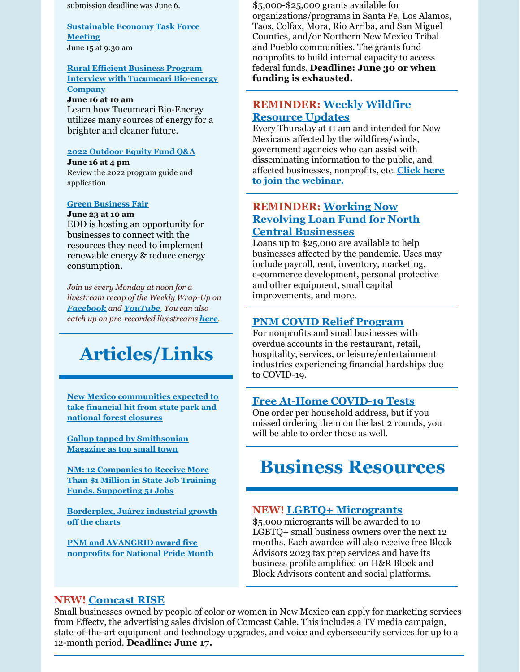submission deadline was June 6.

**[Sustainable](https://teams.microsoft.com/l/meetup-join/19%3ameeting_YjFjOWZiMDQtNzJhNi00NWM1LTllYTAtNTM1MGEyMzRhY2Nk%40thread.v2/0?context=%7b%22Tid%22%3a%2204aa6bf4-d436-426f-bfa4-04b7a70e60ff%22%2c%22Oid%22%3a%22b7ba5f11-61fb-43d5-8bbd-abefd5d7e85d%22%7d&CT=1654696668982&OR=Outlook-Body&CID=1534FF61-F622-4462-9C00-A316B46AD565) Economy Task Force Meeting** June 15 at 9:30 am

#### **Rural Efficient Business Program Interview with [Tucumcari](https://nmruralbiz.com/schedule) Bio-energy Company**

#### **June 16 at 10 am**

Learn how Tucumcari Bio-Energy utilizes many sources of energy for a brighter and cleaner future.

#### **2022 [Outdoor](https://www.nmoutside.com/outdoor-recreation-events) Equity Fund Q&A**

**June 16 at 4 pm** Review the 2022 program guide and application.

#### **Green [Business](https://us02web.zoom.us/j/82243146756?pwd=YllPdkUvbGJnRS90bVAyZkNhY2dKZz09#success) Fair**

**June 23 at 10 am** EDD is hosting an opportunity for businesses to connect with the resources they need to implement renewable energy & reduce energy consumption.

*Join us every Monday at noon for a livestream recap of the Weekly Wrap-Up on [Facebook](https://www.facebook.com/NewMexicoEconomicDevelopment/) and [YouTube](https://www.youtube.com/channel/UCEVKlfuuLNl4R0VH6GsxZRQ). You can also catch up on pre-recorded livestreams [here](https://youtube.com/playlist?list=PLGKR-UpukkDLaIt7LYfG78X31Y3qDftkz).*

# **Articles/Links**

**New Mexico [communities](https://www.msn.com/en-us/news/us/new-mexico-communities-expected-to-take-financial-hit-from-state-park-and-national-forest-closures/ar-AAXXU40?ocid=BingNewsSearch) expected to take financial hit from state park and national forest closures**

**Gallup tapped by [Smithsonian](https://www.krqe.com/news/new-mexico/gallup-tapped-by-smithsonian-magazine-as-top-small-town/) Magazine as top small town**

**NM: 12 [Companies](https://www.tradeandindustrydev.com/region/new-mexico/nm-12-companies-receive-more-1-million-state-job-30436) to Receive More Than \$1 Million in State Job Training Funds, Supporting 51 Jobs**

**[Borderplex,](https://www.abqjournal.com/2504931/borderplex-juarez-industrial-growth-off-the-charts.html) Juárez industrial growth off the charts**

**PNM and [AVANGRID](https://www.demingheadlight.com/story/opinion/2022/06/02/pnm-and-avangrid-award-five-nonprofits-national-pride-month/7476604001/) award five nonprofits for National Pride Month**

\$5,000-\$25,000 grants available for organizations/programs in Santa Fe, Los Alamos, Taos, Colfax, Mora, Rio Arriba, and San Miguel Counties, and/or Northern New Mexico Tribal and Pueblo communities. The grants fund nonprofits to build internal capacity to access federal funds. **Deadline: June 30 or when funding is exhausted.**

#### **[REMINDER:](https://www.sba.gov/offices/district/nm/albuquerque?utm_medium=email&utm_source=govdelivery) Weekly Wildfire Resource Updates**

Every Thursday at 11 am and intended for New Mexicans affected by the wildfires/winds, government agencies who can assist with disseminating information to the public, and affected [businesses,](https://teams.microsoft.com/dl/launcher/launcher.html?url=%2F_%23%2Fl%2Fmeetup-join%2F19%3Ameeting_MTFkM2IyZDUtY2U0NC00ODdlLWE1ZjMtODdhNjVhYzVlNjZh%40thread.v2%2F0%3Fcontext%3D%257B%2522Tid%2522%253A%25223c89fd8a-7f68-4667-aa15-41ebf2208961%2522%252C%2522Oid%2522%253A%252203294e47-5844-411f-b8d1-822d7fb3f79d%2522%257D%26utm_medium%3Demail%26utm_source%3Dgovdelivery%26anon%3Dtrue&type=meetup-join&deeplinkId=8b5a8290-313b-4d3d-8084-79baa4010d9e&directDl=true&msLaunch=true&enableMobilePage=false&suppressPrompt=true) nonprofits, etc. **Click here to join the webinar.**

#### **[REMINDER:](https://www.ncnmedd.com/rlf) Working Now Revolving Loan Fund for North Central Businesses**

Loans up to \$25,000 are available to help businesses affected by the pandemic. Uses may include payroll, rent, inventory, marketing, e-commerce development, personal protective and other equipment, small capital improvements, and more.

#### **PNM COVID Relief [Program](https://pnmcovd.powerclerk.com/Embed/Link?ProgramId=K7GCRH8D9NY3&ResourceType=form&ResourceId=QS76BRGNW56A)**

For nonprofits and small businesses with overdue accounts in the restaurant, retail, hospitality, services, or leisure/entertainment industries experiencing financial hardships due to COVID-19.

#### **Free At-Home [COVID-19](https://special.usps.com/testkits) Tests**

One order per household address, but if you missed ordering them on the last 2 rounds, you will be able to order those as well.

# **Business Resources**

#### **NEW! LGBTQ+ [Microgrants](https://www.hrblock.com/tax-center/newsroom/small-business/block-advisors-kicks-off-new-microgrant-program-for-lgbtq-small-business-owners/#:~:text=KANSAS CITY%2C Mo. %28June 6%2C 2022%29 %E2%80%93 This,with the first microgrant awarded in June 2022.)**

\$5,000 microgrants will be awarded to 10 LGBTQ+ small business owners over the next 12 months. Each awardee will also receive free Block Advisors 2023 tax prep services and have its business profile amplified on H&R Block and Block Advisors content and social platforms.

#### **NEW! [Comcast](https://www.comcastrise.com/apply/) RISE**

Small businesses owned by people of color or women in New Mexico can apply for marketing services from Effectv, the advertising sales division of Comcast Cable. This includes a TV media campaign, state-of-the-art equipment and technology upgrades, and voice and cybersecurity services for up to a 12-month period. **Deadline: June 17.**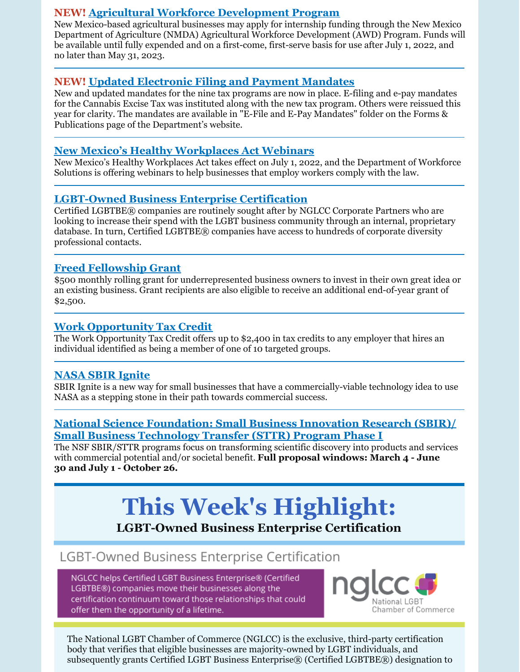#### **NEW! Agricultural Workforce [Development](https://nmdeptag.nmsu.edu/agricultural-workforce-development.html) Program**

New Mexico-based agricultural businesses may apply for internship funding through the New Mexico Department of Agriculture (NMDA) Agricultural Workforce Development (AWD) Program. Funds will be available until fully expended and on a first-come, first-serve basis for use after July 1, 2022, and no later than May 31, 2023.

### **NEW! Updated [Electronic](https://www.tax.newmexico.gov/forms-publications/) Filing and Payment Mandates**

New and updated mandates for the nine tax programs are now in place. E-filing and e-pay mandates for the Cannabis Excise Tax was instituted along with the new tax program. Others were reissued this year for clarity. The mandates are available in "E-File and E-Pay Mandates" folder on the Forms & Publications page of the Department's website.

### **New Mexico's Healthy [Workplaces](https://financenewmexico.org/new-programs-open-opportunities-and-announcements/paid-sick-leave-law-starts-july-1/?mc_cid=b371d98802&mc_eid=a292c21a12) Act Webinars**

New Mexico's Healthy Workplaces Act takes effect on July 1, 2022, and the Department of Workforce Solutions is offering webinars to help businesses that employ workers comply with the law.

### **[LGBT-Owned](https://www.nglcc.org/get-certified?utm_medium=email&utm_source=govdelivery) Business Enterprise Certification**

Certified LGBTBE® companies are routinely sought after by NGLCC Corporate Partners who are looking to increase their spend with the LGBT business community through an internal, proprietary database. In turn, Certified LGBTBE® companies have access to hundreds of corporate diversity professional contacts.

#### **Freed [Fellowship](https://www.freedfellowship.com/grant1) Grant**

\$500 monthly rolling grant for underrepresented business owners to invest in their own great idea or an existing business. Grant recipients are also eligible to receive an additional end-of-year grant of \$2,500.

### **Work [Opportunity](https://financenewmexico.org/new-programs-open-opportunities-and-announcements/tax-credit-helps-businesses-diversify/?mc_cid=b371d98802&mc_eid=a292c21a12) Tax Credit**

The Work Opportunity Tax Credit offers up to \$2,400 in tax credits to any employer that hires an individual identified as being a member of one of 10 targeted groups.

### **[NASA](https://sbir.nasa.gov/ignite?utm_medium=email&utm_source=govdelivery&mc_cid=b371d98802&mc_eid=a292c21a12) SBIR Ignite**

SBIR Ignite is a new way for small businesses that have a commercially-viable technology idea to use NASA as a stepping stone in their path towards commercial success.

#### **National Science [Foundation:](https://beta.nsf.gov/funding/opportunities/small-business-innovation-research-sbir-small-business-technology-transfer?utm_medium=email&utm_source=govdelivery&mc_cid=b371d98802&mc_eid=a292c21a12) Small Business Innovation Research (SBIR)/ Small Business Technology Transfer (STTR) Program Phase I**

The NSF SBIR/STTR programs focus on transforming scientific discovery into products and services with commercial potential and/or societal benefit. **Full proposal windows: March 4 - June 30 and July 1 - October 26.**

# **This Week's Highlight:**

### **LGBT-Owned Business Enterprise Certification**

## LGBT-Owned Business Enterprise Certification

NGLCC helps Certified LGBT Business Enterprise® (Certified LGBTBE®) companies move their businesses along the certification continuum toward those relationships that could offer them the opportunity of a lifetime.



The National LGBT Chamber of Commerce (NGLCC) is the exclusive, third-party certification body that verifies that eligible businesses are majority-owned by LGBT individuals, and subsequently grants Certified LGBT Business Enterprise® (Certified LGBTBE®) designation to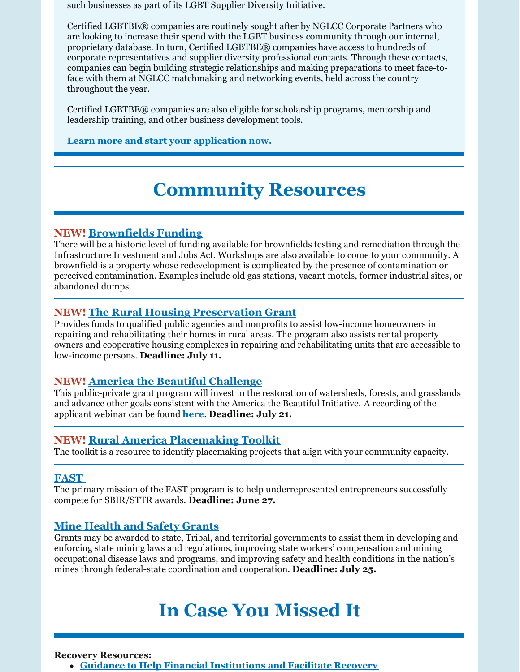such businesses as part of its LGBT Supplier Diversity Initiative.

Certified LGBTBE® companies are routinely sought after by NGLCC Corporate Partners who are looking to increase their spend with the LGBT business community through our internal, proprietary database. In turn, Certified LGBTBE® companies have access to hundreds of corporate representatives and supplier diversity professional contacts. Through these contacts, companies can begin building strategic relationships and making preparations to meet face-toface with them at NGLCC matchmaking and networking events, held across the country throughout the year.

Certified LGBTBE® companies are also eligible for scholarship programs, mentorship and leadership training, and other business development tools.

**Learn more and start your [application](https://www.nglcc.org/get-certified) now.**

# **Community Resources**

#### **NEW! [Brownfields](https://www.env.nm.gov/gwqb/brownfields-program/) Funding**

There will be a historic level of funding available for brownfields testing and remediation through the Infrastructure Investment and Jobs Act. Workshops are also available to come to your community. A brownfield is a property whose redevelopment is complicated by the presence of contamination or perceived contamination. Examples include old gas stations, vacant motels, former industrial sites, or abandoned dumps.

### **NEW! The Rural Housing [Preservation](https://www.grants.gov/web/grants/view-opportunity.html?oppId=340471) Grant**

Provides funds to qualified public agencies and nonprofits to assist low-income homeowners in repairing and rehabilitating their homes in rural areas. The program also assists rental property owners and cooperative housing complexes in repairing and rehabilitating units that are accessible to low-income persons. **Deadline: July 11.**

### **NEW! America the Beautiful [Challenge](https://www.nfwf.org/programs/america-beautiful-challenge)**

This public-private grant program will invest in the restoration of watersheds, forests, and grasslands and advance other goals consistent with the America the Beautiful Initiative. A recording of the applicant webinar can be found **[here](https://register.gotowebinar.com/recording/7537083362335648002)**. **Deadline: July 21.**

### **NEW! Rural America [Placemaking](https://www.ruralplacemaking.com/) Toolkit**

The toolkit is a resource to identify placemaking projects that align with your community capacity.

#### **[FAST](https://www.grants.gov/web/grants/view-opportunity.html?oppId=340761)**

The primary mission of the FAST program is to help underrepresented entrepreneurs successfully compete for SBIR/STTR awards. **Deadline: June 27.**

### **Mine [Health](https://www.grants.gov/web/grants/view-opportunity.html?oppId=340628) and Safety Grants**

Grants may be awarded to state, Tribal, and territorial governments to assist them in developing and enforcing state mining laws and regulations, improving state workers' compensation and mining occupational disease laws and programs, and improving safety and health conditions in the nation's mines through federal-state coordination and cooperation. **Deadline: July 25.**

# **In Case You Missed It**

#### **Recovery Resources:**

**Guidance to Help Financial [Institutions](https://www.fdic.gov/news/financial-institution-letters/2022/fil22019.html#guidance) and Facilitate Recovery**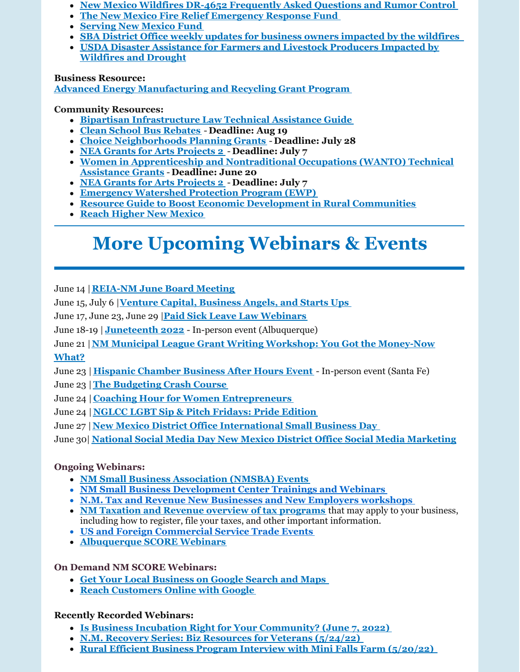- **New Mexico Wildfires DR-4652 [Frequently](https://www.fema.gov/disaster/4652/faq-rumor) Asked Questions and Rumor Control**
- **The New Mexico Fire Relief [Emergency](https://albuquerquecf.fcsuite.com/erp/donate/create?funit_id=4333) Response Fund**
- **[Serving](https://www.surveymonkey.com/r/servNMApp) New Mexico Fund**
- **SBA District Office weekly updates for business owners [impacted](https://www.sba.gov/offices/district/nm/albuquerque?utm_medium=email&utm_source=govdelivery) by the wildfires**
- **USDA Disaster [Assistance](https://www.fsa.usda.gov/state-offices/New-Mexico/news-releases/2022/usda-offers-disaster-assistance-to-new-mexico-farmers-and-livestock-producers-impacted-by-wildfires-and-drought-?utm_medium=email&utm_source=govdelivery) for Farmers and Livestock Producers Impacted by Wildfires and Drought**

#### **Business Resource:**

**Advanced Energy [Manufacturing](https://www.energy.gov/eere/articles/us-department-energy-offers-targeted-technical-assistance-manufacturers-former-coal) and Recycling Grant Program**

#### **Community Resources:**

- **Bipartisan [Infrastructure](https://www.whitehouse.gov/wp-content/uploads/2022/05/Infrastructure-Technical-Assistance-Guide_FINAL2.pdf) Law Technical Assistance Guide**
- **Clean School Bus [Rebates](https://www.epa.gov/cleanschoolbus/school-bus-rebates-clean-school-bus-program) Deadline: Aug 19**
- **Choice [Neighborhoods](https://www.grants.gov/web/grants/view-opportunity.html?oppId=340208) Planning Grants Deadline: July 28**
- **NEA Grants for Arts [Projects](https://www.grants.gov/web/grants/view-opportunity.html?oppId=340235) 2 Deadline: July 7**
- **Women in [Apprenticeship](https://www.grants.gov/web/grants/view-opportunity.html?oppId=340246) and Nontraditional Occupations (WANTO) Technical Assistance Grants** - **Deadline: June 20**
- **NEA Grants for Arts [Projects](https://www.grants.gov/web/grants/view-opportunity.html?oppId=340235) 2 Deadline: July 7**
- **[Emergency](https://www.nrcs.usda.gov/wps/portal/nrcs/main/national/programs/landscape/ewpp/) Watershed Protection Program (EWP)**
- **Resource Guide to Boost Economic Development in Rural [Communities](https://www.rd.usda.gov/sites/default/files/508F_RD_EDA_JointPlanningResourceGuide.pdf)**
- **Reach Higher New [Mexico](https://www.reachhighernm.com/)**

# **More Upcoming Webinars & Events**

June 14 |**[REIA-NM](https://reia-nm.org/events) June Board Meeting**

June 15, July 6 |**Venture Capital, [Business](https://tiolita.com/eventbrite-event/insead-workshop-venture-capital-business-angels-and-starts-ups/) Angels, and Starts Ups**

June 17, June 23, June 29 |**Paid Sick Leave Law [Webinars](https://financenewmexico.org/new-programs-open-opportunities-and-announcements/paid-sick-leave-law-starts-july-1/?mc_cid=b371d98802&mc_eid=a292c21a12)**

June 18-19 | **[Juneteenth](https://www.nmjuneteenth.com/registration?utm_medium=email&utm_source=govdelivery) 2022** - In-person event (Albuquerque)

June 21 |**NM Municipal League Grant Writing Workshop: You Got the [Money-Now](https://gcc02.safelinks.protection.outlook.com/?url=https%3A%2F%2Fr20.rs6.net%2Ftn.jsp%3Ff%3D001rDZa5v6kIi8ZPXLfrwXqtEnPjxT0sH8Y4w_ITbcgX6TsLn2WeTmE_7a0qu73xd9F4m8NWfBKj2C_7iVDTAAupQCrsvaxoGLLUzkeBaqRVvLTUe6SMVvVEdVrUAsjHs6uYI1vWLMTa8BY3TyIRKsG5pjyaDfLMcrkJ7QGE5Zy7twA3QhoSVNuNcLIFGNEVOHC%26c%3DRneGoejP-gaPq7M77ZLvwZyZVQNLavCyzj3xywNvxWPBRBw4tgejZg%3D%3D%26ch%3DJB781o2OyGrvV9y5GzkHNyo6FYNOHWEFJgyb25IckXVw6dRRAL3hnw%3D%3D&data=04%7C01%7Cjennifer.myers%40state.nm.us%7Ce507173c32804900a0d708da1721a825%7C04aa6bf4d436426fbfa404b7a70e60ff%7C0%7C0%7C637847730574058851%7CUnknown%7CTWFpbGZsb3d8eyJWIjoiMC4wLjAwMDAiLCJQIjoiV2luMzIiLCJBTiI6Ik1haWwiLCJXVCI6Mn0%3D%7C3000&sdata=3fqEcUOHtj5F%2FrfJQNiWrim1hGESWSGZ9z5yF3Akqio%3D&reserved=0)**

#### **What?**

June 23 | **Hispanic [Chamber](https://www.eventbrite.com/e/santa-fe-hispanic-chamber-of-commerce-business-after-hours-event-tickets-352894134857) Business After Hours Event** - In-person event (Santa Fe)

- June 23 |**The [Budgeting](https://www.eventbrite.com/e/the-budgeting-crash-course-tickets-322634417227?aff=ebdssbonlinesearch) Crash Course**
- June 24 | **Coaching Hour for Women [Entrepreneurs](https://www.eventbrite.com/e/coaching-hour-for-women-entrepreneurs-tickets-306150182437?aff=ebdssbonlinesearch)**
- June 24 | **NGLCC LGBT Sip & Pitch [Fridays:](https://www.nglcc.org/events/nglcc-lgbt-sip-pitch-fridays-pride-edition-june-24-2022) Pride Edition**
- June 27 |**New Mexico District Office [International](https://content.govdelivery.com/accounts/USSBA/bulletins/31a268c) Small Business Day**
- June 30| **National Social Media Day New Mexico District Office Social Media [Marketing](https://content.govdelivery.com/accounts/USSBA/bulletins/31a268c?reqfrom=share)**

#### **Ongoing Webinars:**

- **NM Small Business [Association](https://www.sba.gov/offices/district/nm/albuquerque) (NMSBA) Events**
- **NM Small Business [Development](http://www.nmsbdc.org/workshop-and-events.aspx) Center Trainings and Webinars**
- **N.M. Tax and Revenue New [Businesses](http://www.tax.newmexico.gov/workshop-schedule.aspx) and New Employers workshops**
- **NM Taxation and Revenue overview of tax [programs](https://www.youtube.com/watch?v=eiGiS04Cwbk)** that may apply to your business, including how to register, file your taxes, and other important information.
- **US and Foreign [Commercial](https://www.trade.gov/trade-events-search#/search?event_types=Seminar-Webinar&offset=0&start_date_range%5Bfrom%5D=2019-12-01&start_date_range%5Bto%5D=2024-03-31) Service Trade Events**
- **[Albuquerque](https://albuquerque.score.org/our-workshops-0) SCORE Webinars**

#### **On Demand NM SCORE Webinars:**

- **Get Your Local [Business](https://albuquerque.score.org/event/get-your-business-google-search-maps) on Google Search and Maps**
- **Reach [Customers](https://albuquerque.score.org/event/reach-customers-online-with-google-w) Online with Google**

#### **Recently Recorded Webinars:**

- **Is Business Incubation Right for Your [Community?](https://youtu.be/0lQCGO8JiuU) (June 7, 2022)**
- **N.M. Recovery Series: Biz [Resources](https://youtu.be/DP9rdot_bps) for Veterans (5/24/22)**
- **Rural Efficient Business Program Interview with Mini Falls Farm [\(5/20/22\)](https://youtu.be/REpic9UhTCA)**